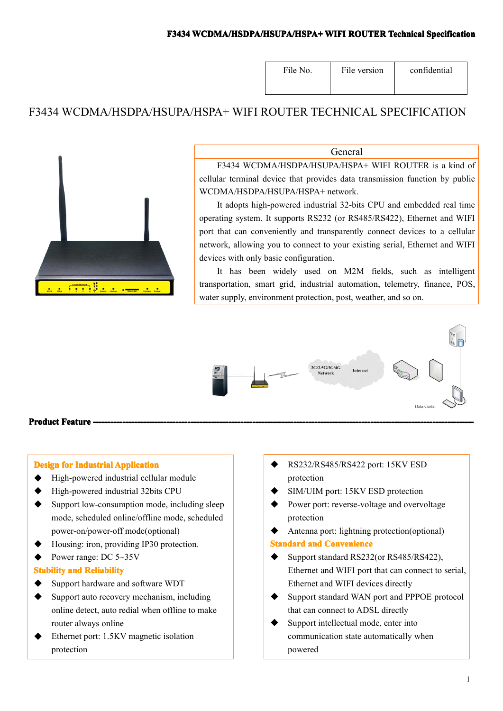#### **F3434 WCDMA/HSDPA/HSUPA/HSPA+ WIFI ROUTER Technical Specification**

| File No. | File version | confidential |
|----------|--------------|--------------|
|          |              |              |

# F3434 WCDMA/HSDPA/HSUPA/HSPA+ WIFI ROUTER TECHNICAL SPECIFICATION



#### General

F3434 WCDMA/HSDPA/HSUPA/HSPA+ WIFI ROUTER is <sup>a</sup> kind of cellular terminal device that provides data transmission function by public WCDMA/HSDPA/HSUPA/HSPA+ network.

It adopts high-powered industrial 32-bits CPU and embedded real time operating system. It supports RS232 (or RS485/RS422), Ethernet and WIFI por<sup>t</sup> that can conveniently and transparently connect devices to <sup>a</sup> cellular network, allowing you to connect to your existing serial, Ethernet and WIFI devices with only basic configuration.

It has been widely used on M2M fields, such as intelligent transportation, smart grid, industrial automation, telemetry, finance, POS, water supply, environment protection, post, weather, and so on.



#### **Product Feature**

#### **Design for Industrial Application**

- � High-powered industrial cellular module
- ◆ High-powered industrial 32bits CPU
- $\bullet$  Support low-consumption mode, including sleep mode, scheduled online/offline mode, scheduled power-on/power-off mode(optional)
- Housing: iron, providing IP30 protection.
- Power range: DC 5~35V

#### **Stability and Reliability**

- $\blacklozenge$  Support hardware and software WDT
- $\bullet$  Support auto recovery mechanism, including online detect, auto redial when offline to make router always online
- Ethernet port: 1.5KV magnetic isolation protection
- � RS232/RS485/RS422 port: 15KV ESD protection
- � SIM/UIM port: 15KV ESD protection
- Power port: reverse-voltage and overvoltage protection
- Antenna port: lightning protection(optional) **Standard and Convenience**
- Support standard RS232(or RS485/RS422), Ethernet and WIFI por<sup>t</sup> that can connect to serial, Ethernet and WIFI devices directly
- � Support standard WAN por<sup>t</sup> and PPPOE protocol that can connect to ADSL directly
- Support intellectual mode, enter into communication state automatically when powered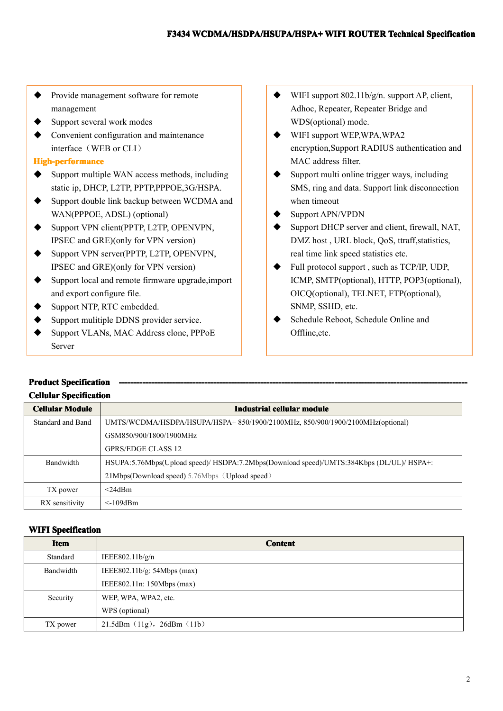- � Provide managemen<sup>t</sup> software for remote management
- Support several work modes
- Convenient configuration and maintenance interface (WEB or CLI)

### **High-performance igh-performanceigh-performance**

- **�** Support multiple WAN access methods, including static ip, DHCP, L2TP, PPTP,PPPOE,3G/HSPA.
- $\bullet$  Support double link backup between WCDMA and WAN(PPPOE, ADSL) (optional)
- $\blacklozenge$  Support VPN client(PPTP, L2TP, OPENVPN, IPSEC and GRE)(only for VPN version)
- � Support VPN server(PPTP, L2TP, OPENVPN, IPSEC and GRE)(only for VPN version)
- $\bullet$  Support local and remote firmware upgrade, import and expor<sup>t</sup> configure file.
- ◆ Support NTP, RTC embedded.
- ◆ Support mulitiple DDNS provider service.
- � Support VLANs, MAC Address clone, PPPoE Server
- WIFI support 802.11b/g/n. support AP, client, Adhoc, Repeater, Repeater Bridge and WDS(optional) mode.
- � WIFI suppor<sup>t</sup> WEP,WPA,WPA2 encryption,Support RADIUS authentication and MAC address filter.
- Support multi online trigger ways, including SMS, ring and data. Support link disconnection when timeout
- � Support APN/VPDN
- � Support DHCP server and client, firewall, NAT, DMZ host , URL block, QoS, ttraff,statistics, real time link speed statistics etc.
- � Full protocol suppor<sup>t</sup> , such as TCP/IP, UDP, ICMP, SMTP(optional), HTTP, POP3(optional), OICQ(optional), TELNET, FTP(optional), SNMP, SSHD, etc.
- Schedule Reboot, Schedule Online and Offline,etc.

# **Product ProductSpecification ------------------------------------------------------------------------------- ---------------------------------------------------------------------------------------------------------------------- ------------------------------------------------------------------------------Cellular CellularCellular CellularSpecification Specification**

| <b>Cellular Module</b> | Industrial cellular module                                                               |
|------------------------|------------------------------------------------------------------------------------------|
| Standard and Band      | UMTS/WCDMA/HSDPA/HSUPA/HSPA+850/1900/2100MHz, 850/900/1900/2100MHz(optional)             |
|                        | GSM850/900/1800/1900MHz                                                                  |
|                        | <b>GPRS/EDGE CLASS 12</b>                                                                |
| Bandwidth              | HSUPA:5.76Mbps(Upload speed)/ HSDPA:7.2Mbps(Download speed)/UMTS:384Kbps (DL/UL)/ HSPA+: |
|                        | 21Mbps(Download speed) 5.76Mbps (Upload speed)                                           |
| TX power               | $<$ 24dBm                                                                                |
| RX sensitivity         | $\leq$ -109dBm                                                                           |

#### **WIFI Specification**

| <b>Item</b> | <b>Content</b>                |
|-------------|-------------------------------|
| Standard    | IEEE802.11b/g/n               |
| Bandwidth   | IEEE802.11b/g: $54Mbps$ (max) |
|             | IEEE802.11n: 150Mbps (max)    |
| Security    | WEP, WPA, WPA2, etc.          |
|             | WPS (optional)                |
| TX power    | 21.5dBm (11g), 26dBm (11b)    |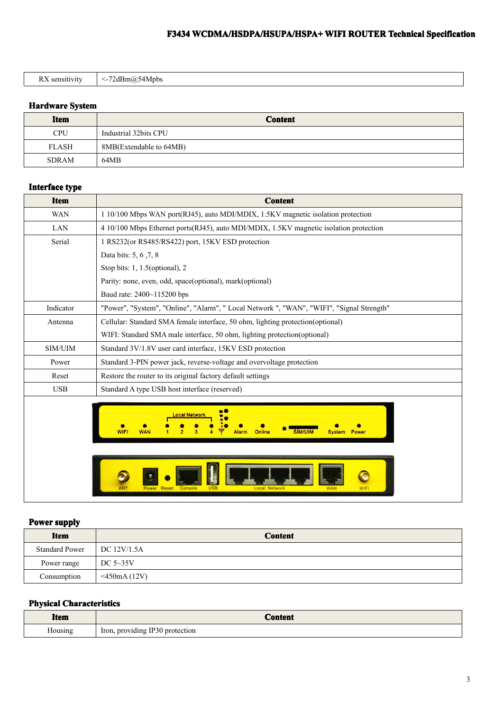# **F3434 WCDMA/HSDPA/HSUPA/HSPA+ WCDMA/HSDPA/HSUPA/HSPA+WCDMA/HSDPA/HSUPA/HSPA+WIFI ROUTER Technical TechnicalTechnical Specification SpecificationSpecification**

|--|

#### **Hardware System**

| <b>Item</b>  | <b>Content</b>          |
|--------------|-------------------------|
| <b>CPU</b>   | Industrial 32bits CPU   |
| <b>FLASH</b> | 8MB(Extendable to 64MB) |
| <b>SDRAM</b> | 64MB                    |

#### **Interface type**

| <b>Item</b> | <b>Content</b>                                                                            |
|-------------|-------------------------------------------------------------------------------------------|
| <b>WAN</b>  | 1 10/100 Mbps WAN port(RJ45), auto MDI/MDIX, 1.5KV magnetic isolation protection          |
| LAN         | 4 10/100 Mbps Ethernet ports(RJ45), auto MDI/MDIX, 1.5KV magnetic isolation protection    |
| Serial      | 1 RS232(or RS485/RS422) port, 15KV ESD protection                                         |
|             | Data bits: 5, 6, 7, 8                                                                     |
|             | Stop bits: 1, 1.5(optional), 2                                                            |
|             | Parity: none, even, odd, space(optional), mark(optional)                                  |
|             | Baud rate: 2400~115200 bps                                                                |
| Indicator   | "Power", "System", "Online", "Alarm", " Local Network ", "WAN", "WIFI", "Signal Strength" |
| Antenna     | Cellular: Standard SMA female interface, 50 ohm, lighting protection(optional)            |
|             | WIFI: Standard SMA male interface, 50 ohm, lighting protection(optional)                  |
| SIM/UIM     | Standard 3V/1.8V user card interface, 15KV ESD protection                                 |
| Power       | Standard 3-PIN power jack, reverse-voltage and overvoltage protection                     |
| Reset       | Restore the router to its original factory default settings                               |
| <b>USB</b>  | Standard A type USB host interface (reserved)                                             |
|             | ocal Network<br>Online<br>WIF<br>Power<br>Svstem<br>Console<br>Power                      |

#### **Power supply**

|  | <b>Item</b>                  | <b>Content</b>  |
|--|------------------------------|-----------------|
|  | Standard Power   DC 12V/1.5A |                 |
|  | Power range                  | DC $5\sim35V$   |
|  | Consumption                  | $<$ 450mA (12V) |

#### **Physical Characteristics**

| Item    | `onton                                     |
|---------|--------------------------------------------|
| Aousing | IP30 protection<br>r, providing '<br>Iron, |